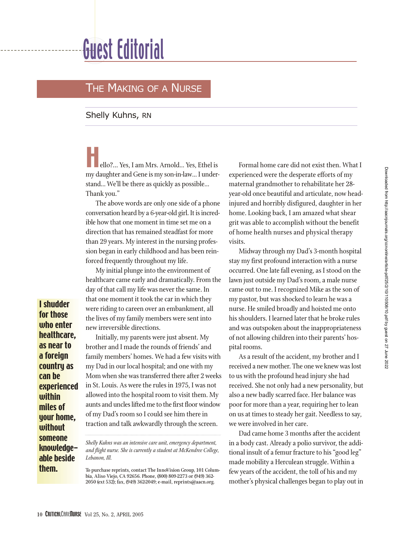## Guest Editorial

## THE MAKING OF A NURSE

Shelly Kuhns, RN

ello?... Yes, I am Mrs. Arnold... Yes, Ethel is my daughter and Gene is my son-in-law… I understand… We'll be there as quickly as possible… Thank you."

The above words are only one side of a phone conversation heard by a 6-year-old girl. It is incredible how that one moment in time set me on a direction that has remained steadfast for more than 29 years. My interest in the nursing profession began in early childhood and has been reinforced frequently throughout my life.

My initial plunge into the environment of healthcare came early and dramatically. From the day of that call my life was never the same. In that one moment it took the car in which they were riding to careen over an embankment, all the lives of my family members were sent into new irreversible directions.

Initially, my parents were just absent. My brother and I made the rounds of friends' and family members' homes. We had a few visits with my Dad in our local hospital; and one with my Mom when she was transferred there after 2 weeks in St. Louis. As were the rules in 1975, I was not allowed into the hospital room to visit them. My aunts and uncles lifted me to the first floor window of my Dad's room so I could see him there in traction and talk awkwardly through the screen.

*Shelly Kuhns was an intensive care unit, emergency department, and flight nurse. She is currently a student at McKendree College, Lebanon, Ill.* 

To purchase reprints, contact The InnoVision Group, 101 Columbia, Aliso Viejo, CA 92656. Phone, (800) 809-2273 or (949) 362- 2050 (ext 532); fax, (949) 362-2049; e-mail, reprints@aacn.org.

Formal home care did not exist then. What I experienced were the desperate efforts of my maternal grandmother to rehabilitate her 28 year-old once beautiful and articulate, now headinjured and horribly disfigured, daughter in her home. Looking back, I am amazed what shear grit was able to accomplish without the benefit of home health nurses and physical therapy visits.

Midway through my Dad's 3-month hospital stay my first profound interaction with a nurse occurred. One late fall evening, as I stood on the lawn just outside my Dad's room, a male nurse came out to me. I recognized Mike as the son of my pastor, but was shocked to learn he was a nurse. He smiled broadly and hoisted me onto his shoulders. I learned later that he broke rules and was outspoken about the inappropriateness of not allowing children into their parents' hospital rooms.

As a result of the accident, my brother and I received a new mother. The one we knew was lost to us with the profound head injury she had received. She not only had a new personality, but also a new badly scarred face. Her balance was poor for more than a year, requiring her to lean on us at times to steady her gait. Needless to say, we were involved in her care.

Dad came home 3 months after the accident in a body cast. Already a polio survivor, the additional insult of a femur fracture to his "good leg" made mobility a Herculean struggle. Within a few years of the accident, the toll of his and my mother's physical challenges began to play out in

I shudder for those who enter healthcare, as near to a foreign country as can be

experienced within miles of your home, without someone knowledgeable beside

them.